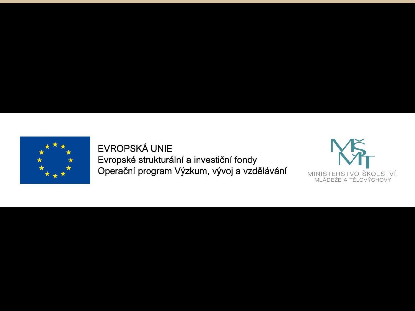

EVROPSKÁ UNIE Evropské strukturální a investiční fondy Operační program Výzkum, vývoj a vzdělávání

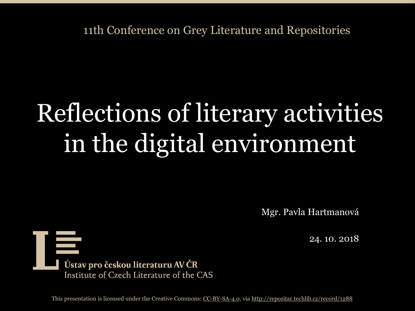11th Conference on Grey Literature and Repositories

# Reflections of literary activities in the digital environment

Mgr. Pavla Hartmanová

24. 10. 2018

苣 Ústav pro českou literaturu AV ČR Institute of Czech Literature of the CAS

This presentation is licensed under the Creative Commons: [CC-BY-SA-4.0,](https://creativecommons.org/licenses/by-sa/4.0/) via<http://repozitar.techlib.cz/record/1288>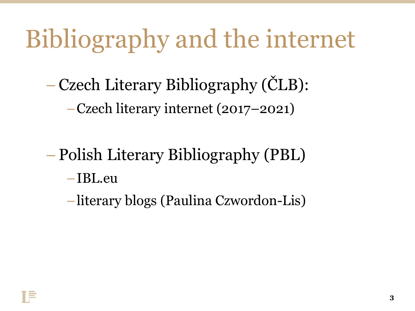### Bibliography and the internet

– Czech Literary Bibliography (ČLB):

–Czech literary internet (2017–2021)

– Polish Literary Bibliography (PBL)

–IBL.eu

–literary blogs (Paulina Czwordon-Lis)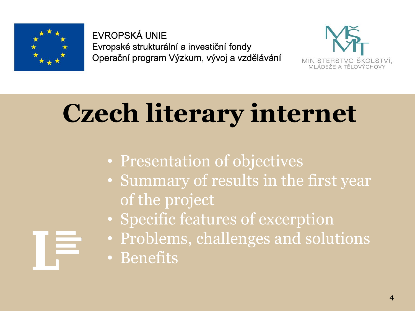

EVROPSKÁ UNIE Evropské strukturální a investiční fondy Operační program Výzkum, vývoj a vzdělávání



# **Czech literary internet**

- Presentation of objectives
- Summary of results in the first year of the project
- Specific features of excerption
- Problems, challenges and solutions
- Benefits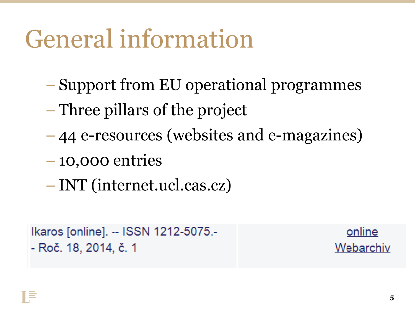#### General information

- Support from EU operational programmes
- Three pillars of the project
- 44 e-resources (websites and e-magazines)
- 10,000 entries
- INT (internet.ucl.cas.cz)

```
Ikaros [online]. -- ISSN 1212-5075.-
- Roč. 18, 2014, č. 1
```
<u>online</u> Webarchiv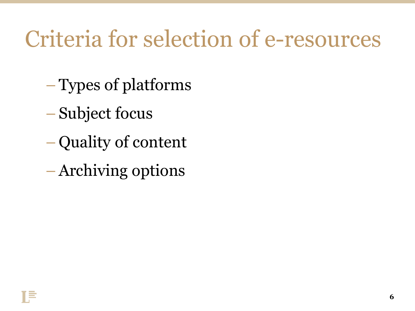#### Criteria for selection of e-resources

- Types of platforms
- Subject focus
- Quality of content
- –Archiving options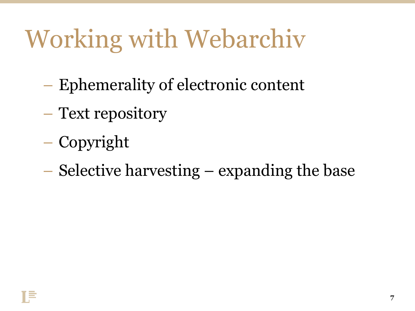## Working with Webarchiv

- Ephemerality of electronic content
- Text repository
- Copyright
- Selective harvesting expanding the base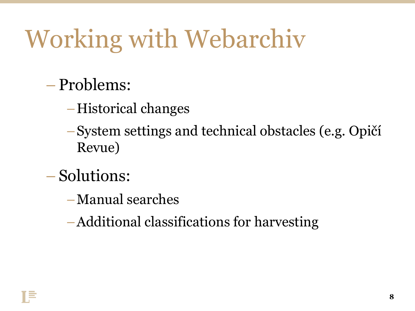## Working with Webarchiv

- Problems:
	- –Historical changes
	- –System settings and technical obstacles (e.g. Opičí Revue)
- Solutions:
	- –Manual searches
	- –Additional classifications for harvesting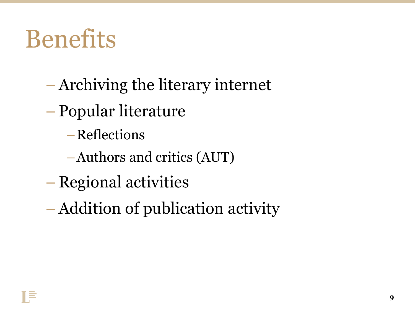#### **Benefits**

- –Archiving the literary internet
- Popular literature
	- –Reflections
	- –Authors and critics (AUT)
- Regional activities
- –Addition of publication activity